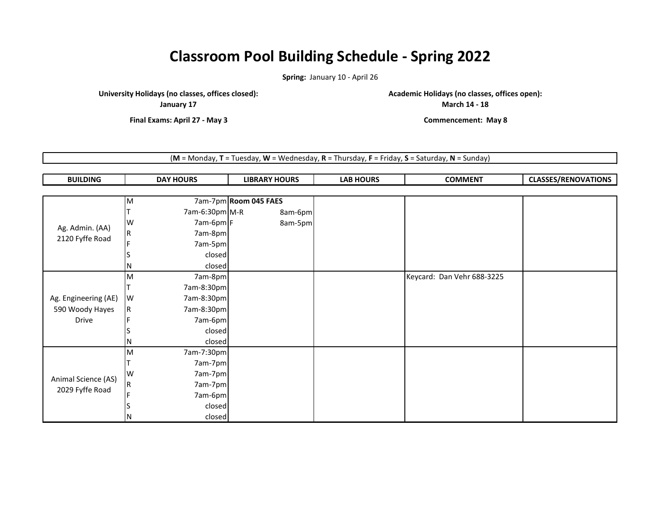## **Classroom Pool Building Schedule - Spring 2022**

**Spring:** January 10 - April 26

**University Holidays (no classes, offices closed):**

**January 17**

**Academic Holidays (no classes, offices open):**

**March 14 - 18**

**Final Exams: April 27 - May 3 Commencement: May 8**

(**M** = Monday, **T** = Tuesday, **W** = Wednesday, **R** = Thursday, **F** = Friday, **S** = Saturday, **N** = Sunday)

**BUILDING DAY HOURS LIBRARY HOURS LAB HOURS COMMENT CLASSES/RENOVATIONS**

|                                    | M              |                | 7am-7pm Room 045 FAES |                            |  |
|------------------------------------|----------------|----------------|-----------------------|----------------------------|--|
|                                    |                | 7am-6:30pm M-R | 8am-6pm               |                            |  |
|                                    | W              | 7am-6pm F      | 8am-5pm               |                            |  |
| Ag. Admin. (AA)<br>2120 Fyffe Road | $\overline{R}$ | 7am-8pm        |                       |                            |  |
|                                    |                | 7am-5pm        |                       |                            |  |
|                                    |                | closed         |                       |                            |  |
|                                    |                | closed         |                       |                            |  |
|                                    | M              | 7am-8pm        |                       | Keycard: Dan Vehr 688-3225 |  |
|                                    |                | 7am-8:30pm     |                       |                            |  |
| Ag. Engineering (AE)               | W              | 7am-8:30pm     |                       |                            |  |
| 590 Woody Hayes                    | R              | 7am-8:30pm     |                       |                            |  |
| Drive                              |                | 7am-6pm        |                       |                            |  |
|                                    |                | closed         |                       |                            |  |
|                                    | N              | closed         |                       |                            |  |
|                                    | M              | 7am-7:30pm     |                       |                            |  |
|                                    |                | 7am-7pm        |                       |                            |  |
| Animal Science (AS)                | W              | 7am-7pm        |                       |                            |  |
|                                    |                | 7am-7pm        |                       |                            |  |
| 2029 Fyffe Road                    |                | 7am-6pm        |                       |                            |  |
|                                    |                | closed         |                       |                            |  |
|                                    | N              | closed         |                       |                            |  |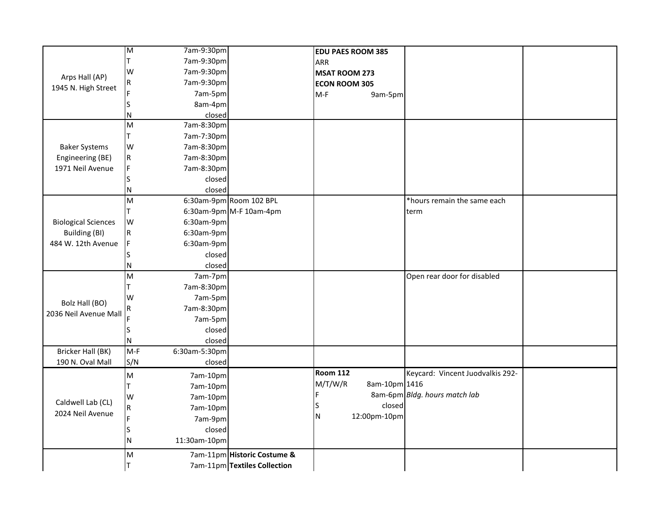|                                         | $\overline{\mathsf{M}}$ | 7am-9:30pm    |                              | <b>EDU PAES ROOM 385</b> |                                  |  |
|-----------------------------------------|-------------------------|---------------|------------------------------|--------------------------|----------------------------------|--|
|                                         |                         | 7am-9:30pm    |                              | <b>ARR</b>               |                                  |  |
| Arps Hall (AP)                          | W                       | 7am-9:30pm    |                              | MSAT ROOM 273            |                                  |  |
| 1945 N. High Street                     | R                       | 7am-9:30pm    |                              | <b>ECON ROOM 305</b>     |                                  |  |
|                                         |                         | 7am-5pm       |                              | $M-F$<br>9am-5pm         |                                  |  |
|                                         |                         | 8am-4pm       |                              |                          |                                  |  |
|                                         | ΙN                      | closed        |                              |                          |                                  |  |
|                                         | M                       | 7am-8:30pm    |                              |                          |                                  |  |
|                                         |                         | 7am-7:30pm    |                              |                          |                                  |  |
| <b>Baker Systems</b>                    | W                       | 7am-8:30pm    |                              |                          |                                  |  |
| Engineering (BE)                        | $\overline{\mathsf{R}}$ | 7am-8:30pm    |                              |                          |                                  |  |
| 1971 Neil Avenue                        |                         | 7am-8:30pm    |                              |                          |                                  |  |
|                                         |                         | closed        |                              |                          |                                  |  |
|                                         | N                       | closed        |                              |                          |                                  |  |
|                                         | M                       |               | 6:30am-9pm Room 102 BPL      |                          | *hours remain the same each      |  |
|                                         |                         |               | 6:30am-9pm M-F 10am-4pm      |                          | term                             |  |
| <b>Biological Sciences</b>              | W                       | $6:30$ am-9pm |                              |                          |                                  |  |
| <b>Building (BI)</b>                    | R                       | 6:30am-9pm    |                              |                          |                                  |  |
| 484 W. 12th Avenue                      | F                       | $6:30$ am-9pm |                              |                          |                                  |  |
|                                         |                         | closed        |                              |                          |                                  |  |
|                                         | ΙN                      | closed        |                              |                          |                                  |  |
|                                         | M                       | 7am-7pm       |                              |                          | Open rear door for disabled      |  |
|                                         |                         | 7am-8:30pm    |                              |                          |                                  |  |
|                                         | W                       | 7am-5pm       |                              |                          |                                  |  |
| Bolz Hall (BO)<br>2036 Neil Avenue Mall |                         | 7am-8:30pm    |                              |                          |                                  |  |
|                                         |                         | 7am-5pm       |                              |                          |                                  |  |
|                                         |                         | closed        |                              |                          |                                  |  |
|                                         | IN.                     | closed        |                              |                          |                                  |  |
| Bricker Hall (BK)                       | $M-F$                   | 6:30am-5:30pm |                              |                          |                                  |  |
| 190 N. Oval Mall                        | S/N                     | closed        |                              |                          |                                  |  |
|                                         | M                       | 7am-10pm      |                              | <b>Room 112</b>          | Keycard: Vincent Juodvalkis 292- |  |
|                                         |                         | 7am-10pm      |                              | 8am-10pm 1416<br>M/T/W/R |                                  |  |
|                                         | W                       | 7am-10pm      |                              |                          | 8am-6pm Bldg. hours match lab    |  |
| Caldwell Lab (CL)                       | R                       | 7am-10pm      |                              | closed                   |                                  |  |
| 2024 Neil Avenue                        |                         | 7am-9pm       |                              | 12:00pm-10pm<br>IN.      |                                  |  |
|                                         |                         | closed        |                              |                          |                                  |  |
|                                         | N                       | 11:30am-10pm  |                              |                          |                                  |  |
|                                         | M                       |               | 7am-11pm Historic Costume &  |                          |                                  |  |
|                                         |                         |               |                              |                          |                                  |  |
|                                         |                         |               | 7am-11pm Textiles Collection |                          |                                  |  |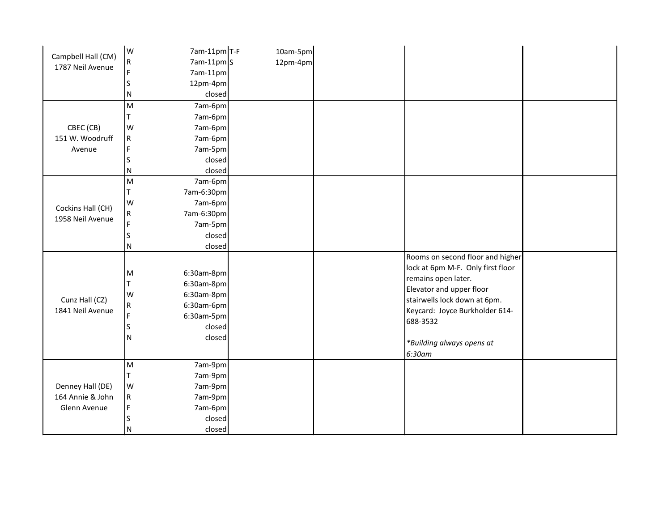| Campbell Hall (CM)<br>1787 Neil Avenue<br>CBEC (CB)<br>151 W. Woodruff<br>Avenue | $7am-11pm$ <sub>T-F</sub><br>W<br>$\mathsf R$<br>$7am-11pmS$<br>7am-11pm<br>12pm-4pm<br>S<br>closed<br>ΙN<br>Iм<br>7am-6pm<br>7am-6pm<br>lw<br>7am-6pm<br> R<br>7am-6pm<br>F<br>7am-5pm | $10am-5pm$<br>12pm-4pm |                                                                                                                                                                                                                                                  |  |
|----------------------------------------------------------------------------------|-----------------------------------------------------------------------------------------------------------------------------------------------------------------------------------------|------------------------|--------------------------------------------------------------------------------------------------------------------------------------------------------------------------------------------------------------------------------------------------|--|
|                                                                                  | closed<br>S<br>closed<br>ΙN                                                                                                                                                             |                        |                                                                                                                                                                                                                                                  |  |
| Cockins Hall (CH)<br>1958 Neil Avenue                                            | Iм<br>7am-6pm<br>7am-6:30pm<br>١w<br>7am-6pm<br>R<br>7am-6:30pm<br>7am-5pm<br>closed<br>S<br>closed<br>ΙN                                                                               |                        |                                                                                                                                                                                                                                                  |  |
| Cunz Hall (CZ)<br>1841 Neil Avenue                                               | $6:30$ am-8pm<br>M<br>$6:30$ am-8pm<br>lw<br>6:30am-8pm<br>6:30am-6pm<br> R<br>F<br>6:30am-5pm<br>closed<br>S<br>closed<br>N                                                            |                        | Rooms on second floor and higher<br>lock at 6pm M-F. Only first floor<br>remains open later.<br>Elevator and upper floor<br>stairwells lock down at 6pm.<br>Keycard: Joyce Burkholder 614-<br>688-3532<br>*Building always opens at<br>$6:30$ am |  |
| Denney Hall (DE)<br>164 Annie & John<br>Glenn Avenue                             | lм<br>7am-9pm<br>7am-9pm<br>IΤ<br>W<br>7am-9pm<br>7am-9pm<br> R<br>F<br>7am-6pm<br>closed<br>S<br>closed<br>IN.                                                                         |                        |                                                                                                                                                                                                                                                  |  |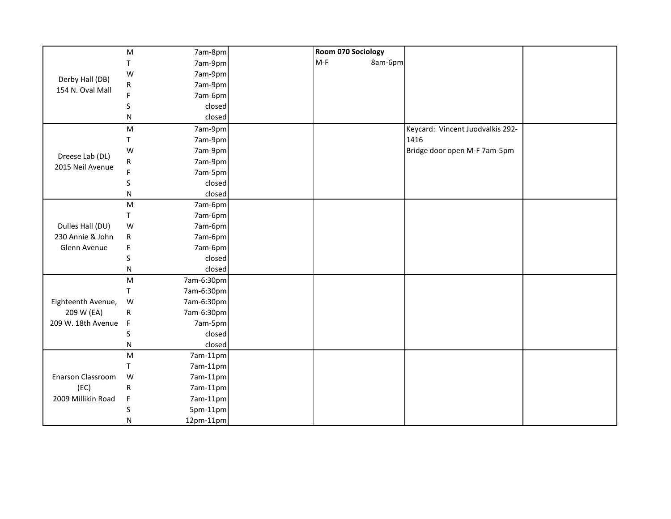|                    | M            | 7am-8pm     |       | Room 070 Sociology |                                  |  |
|--------------------|--------------|-------------|-------|--------------------|----------------------------------|--|
|                    |              | 7am-9pm     | $M-F$ | 8am-6pm            |                                  |  |
| Derby Hall (DB)    | W            | 7am-9pm     |       |                    |                                  |  |
| 154 N. Oval Mall   | R            | 7am-9pm     |       |                    |                                  |  |
|                    | Ë            | 7am-6pm     |       |                    |                                  |  |
|                    |              | closed      |       |                    |                                  |  |
|                    | N            | closed      |       |                    |                                  |  |
|                    | M            | 7am-9pm     |       |                    | Keycard: Vincent Juodvalkis 292- |  |
|                    |              | 7am-9pm     |       |                    | 1416                             |  |
| Dreese Lab (DL)    | W            | 7am-9pm     |       |                    | Bridge door open M-F 7am-5pm     |  |
| 2015 Neil Avenue   | R            | 7am-9pm     |       |                    |                                  |  |
|                    | Ë            | 7am-5pm     |       |                    |                                  |  |
|                    | S            | closed      |       |                    |                                  |  |
|                    | N            | closed      |       |                    |                                  |  |
|                    | M            | 7am-6pm     |       |                    |                                  |  |
|                    |              | 7am-6pm     |       |                    |                                  |  |
| Dulles Hall (DU)   | W            | 7am-6pm     |       |                    |                                  |  |
| 230 Annie & John   | R            | 7am-6pm     |       |                    |                                  |  |
| Glenn Avenue       | F            | 7am-6pm     |       |                    |                                  |  |
|                    | S            | closed      |       |                    |                                  |  |
|                    | $\mathsf{N}$ | closed      |       |                    |                                  |  |
|                    | M            | 7am-6:30pm  |       |                    |                                  |  |
|                    |              | 7am-6:30pm  |       |                    |                                  |  |
| Eighteenth Avenue, | W            | 7am-6:30pm  |       |                    |                                  |  |
| 209 W (EA)         | R            | 7am-6:30pm  |       |                    |                                  |  |
| 209 W. 18th Avenue | $\mathsf F$  | 7am-5pm     |       |                    |                                  |  |
|                    | S            | closed      |       |                    |                                  |  |
|                    | N            | closed      |       |                    |                                  |  |
|                    | M            | 7am-11pm    |       |                    |                                  |  |
|                    |              | 7am-11pm    |       |                    |                                  |  |
| Enarson Classroom  | W            | 7am-11pm    |       |                    |                                  |  |
| (EC)               | ${\sf R}$    | 7am-11pm    |       |                    |                                  |  |
| 2009 Millikin Road | F            | 7am-11pm    |       |                    |                                  |  |
|                    |              | 5pm-11pm    |       |                    |                                  |  |
|                    | ΙN           | $12pm-11pm$ |       |                    |                                  |  |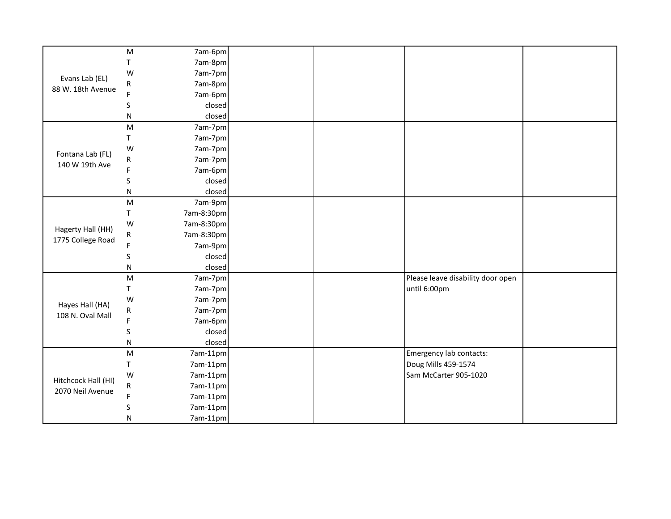|                     | M                       | 7am-6pm    |                                   |  |
|---------------------|-------------------------|------------|-----------------------------------|--|
|                     | T                       | 7am-8pm    |                                   |  |
| Evans Lab (EL)      | W                       | 7am-7pm    |                                   |  |
| 88 W. 18th Avenue   | R                       | 7am-8pm    |                                   |  |
|                     | F                       | 7am-6pm    |                                   |  |
|                     | lS.                     | closed     |                                   |  |
|                     | $\mathsf{N}$            | closed     |                                   |  |
|                     | M                       | 7am-7pm    |                                   |  |
|                     | T                       | 7am-7pm    |                                   |  |
| Fontana Lab (FL)    | W                       | 7am-7pm    |                                   |  |
| 140 W 19th Ave      | R                       | 7am-7pm    |                                   |  |
|                     | F                       | 7am-6pm    |                                   |  |
|                     | S                       | closed     |                                   |  |
|                     | ${\sf N}$               | closed     |                                   |  |
|                     | M                       | 7am-9pm    |                                   |  |
|                     | T                       | 7am-8:30pm |                                   |  |
| Hagerty Hall (HH)   | W                       | 7am-8:30pm |                                   |  |
| 1775 College Road   | R                       | 7am-8:30pm |                                   |  |
|                     | F                       | 7am-9pm    |                                   |  |
|                     | S                       | closed     |                                   |  |
|                     | ${\sf N}$               | closed     |                                   |  |
|                     | $\overline{\mathsf{M}}$ | 7am-7pm    | Please leave disability door open |  |
|                     | T                       | 7am-7pm    | until 6:00pm                      |  |
|                     | W                       | 7am-7pm    |                                   |  |
| Hayes Hall (HA)     | $\overline{\mathsf{R}}$ | 7am-7pm    |                                   |  |
| 108 N. Oval Mall    | F                       | 7am-6pm    |                                   |  |
|                     | S                       | closed     |                                   |  |
|                     | N                       | closed     |                                   |  |
|                     | M                       | 7am-11pm   | Emergency lab contacts:           |  |
|                     | T                       | 7am-11pm   | Doug Mills 459-1574               |  |
|                     | W                       | 7am-11pm   | Sam McCarter 905-1020             |  |
| Hitchcock Hall (HI) | R.                      | 7am-11pm   |                                   |  |
| 2070 Neil Avenue    | F                       | 7am-11pm   |                                   |  |
|                     | S                       | 7am-11pm   |                                   |  |
|                     | ${\sf N}$               | 7am-11pm   |                                   |  |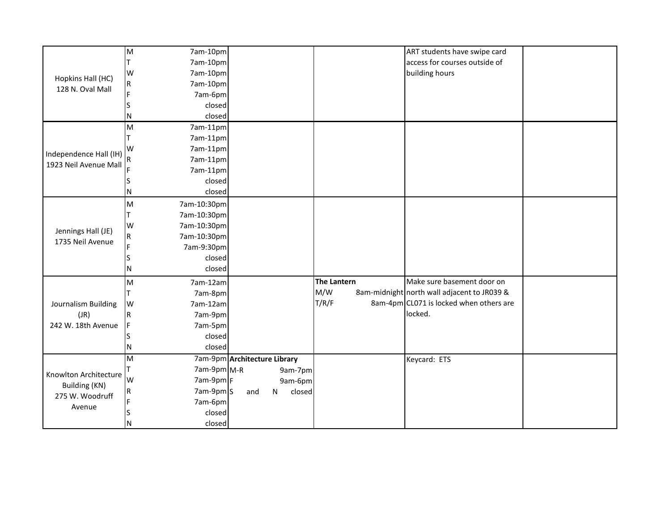|                                                 | M         | 7am-10pm                     |     |              |         |                    | ART students have swipe card                |  |
|-------------------------------------------------|-----------|------------------------------|-----|--------------|---------|--------------------|---------------------------------------------|--|
|                                                 |           | 7am-10pm                     |     |              |         |                    | access for courses outside of               |  |
|                                                 | W         | 7am-10pm                     |     |              |         |                    | building hours                              |  |
| Hopkins Hall (HC)                               | ${\sf R}$ | 7am-10pm                     |     |              |         |                    |                                             |  |
| 128 N. Oval Mall                                |           | 7am-6pm                      |     |              |         |                    |                                             |  |
|                                                 |           | closed                       |     |              |         |                    |                                             |  |
|                                                 | N         | closed                       |     |              |         |                    |                                             |  |
|                                                 | M         | 7am-11pm                     |     |              |         |                    |                                             |  |
|                                                 |           | 7am-11pm                     |     |              |         |                    |                                             |  |
|                                                 | W         | 7am-11pm                     |     |              |         |                    |                                             |  |
| Independence Hall (IH)<br>1923 Neil Avenue Mall |           | 7am-11pm                     |     |              |         |                    |                                             |  |
|                                                 |           | 7am-11pm                     |     |              |         |                    |                                             |  |
|                                                 |           | closed                       |     |              |         |                    |                                             |  |
|                                                 | N         | closed                       |     |              |         |                    |                                             |  |
|                                                 | M         | 7am-10:30pm                  |     |              |         |                    |                                             |  |
|                                                 |           | 7am-10:30pm                  |     |              |         |                    |                                             |  |
|                                                 | W         | 7am-10:30pm                  |     |              |         |                    |                                             |  |
| Jennings Hall (JE)<br>1735 Neil Avenue          | ${\sf R}$ | 7am-10:30pm                  |     |              |         |                    |                                             |  |
|                                                 |           | 7am-9:30pm                   |     |              |         |                    |                                             |  |
|                                                 |           | closed                       |     |              |         |                    |                                             |  |
|                                                 | N         | closed                       |     |              |         |                    |                                             |  |
|                                                 | M         | 7am-12am                     |     |              |         | <b>The Lantern</b> | Make sure basement door on                  |  |
|                                                 |           | 7am-8pm                      |     |              |         | M/W                | 8am-midnight north wall adjacent to JR039 & |  |
| Journalism Building                             | W         | 7am-12am                     |     |              |         | T/R/F              | 8am-4pm CL071 is locked when others are     |  |
| (JR)                                            | R         | 7am-9pm                      |     |              |         |                    | locked.                                     |  |
| 242 W. 18th Avenue                              |           | 7am-5pm                      |     |              |         |                    |                                             |  |
|                                                 |           | closed                       |     |              |         |                    |                                             |  |
|                                                 | N         | closed                       |     |              |         |                    |                                             |  |
|                                                 | M         | 7am-9pm Architecture Library |     |              |         |                    | Keycard: ETS                                |  |
| Knowlton Architecture                           |           | 7am-9pm M-R                  |     |              | 9am-7pm |                    |                                             |  |
| Building (KN)                                   | W         | 7am-9pm F                    |     |              | 9am-6pm |                    |                                             |  |
| 275 W. Woodruff                                 | R         | 7am-9pm S                    | and | $\mathsf{N}$ | closed  |                    |                                             |  |
| Avenue                                          |           | 7am-6pm                      |     |              |         |                    |                                             |  |
|                                                 |           | closed                       |     |              |         |                    |                                             |  |
|                                                 | N         | closed                       |     |              |         |                    |                                             |  |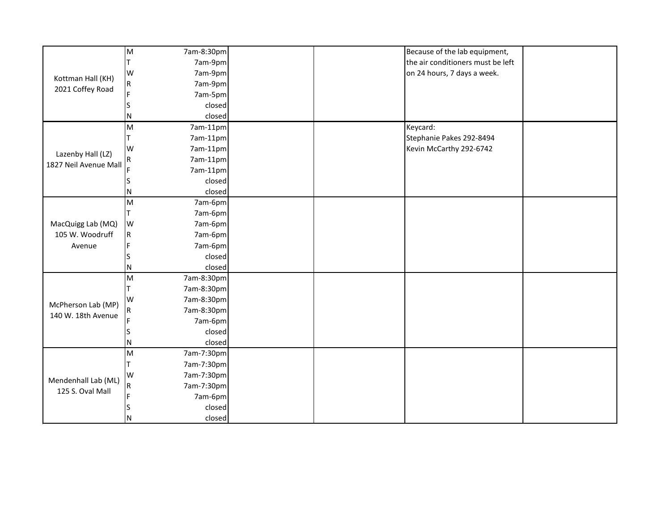|                       | M                       | 7am-8:30pm | Because of the lab equipment,     |
|-----------------------|-------------------------|------------|-----------------------------------|
|                       |                         | 7am-9pm    | the air conditioners must be left |
| Kottman Hall (KH)     | W                       | 7am-9pm    | on 24 hours, 7 days a week.       |
| 2021 Coffey Road      | $\overline{\mathsf{R}}$ | 7am-9pm    |                                   |
|                       | F                       | 7am-5pm    |                                   |
|                       | lS                      | closed     |                                   |
|                       | N                       | closed     |                                   |
|                       | M                       | 7am-11pm   | Keycard:                          |
|                       |                         | 7am-11pm   | Stephanie Pakes 292-8494          |
| Lazenby Hall (LZ)     | W                       | 7am-11pm   | Kevin McCarthy 292-6742           |
| 1827 Neil Avenue Mall | $\overline{\mathsf{R}}$ | 7am-11pm   |                                   |
|                       | F                       | 7am-11pm   |                                   |
|                       | lS                      | closed     |                                   |
|                       | N                       | closed     |                                   |
|                       | M                       | 7am-6pm    |                                   |
|                       |                         | 7am-6pm    |                                   |
| MacQuigg Lab (MQ)     | W                       | 7am-6pm    |                                   |
| 105 W. Woodruff       | R                       | 7am-6pm    |                                   |
| Avenue                | F                       | 7am-6pm    |                                   |
|                       |                         | closed     |                                   |
|                       | N                       | closed     |                                   |
|                       | M                       | 7am-8:30pm |                                   |
|                       |                         | 7am-8:30pm |                                   |
|                       | W                       | 7am-8:30pm |                                   |
| McPherson Lab (MP)    | $\overline{\mathsf{R}}$ | 7am-8:30pm |                                   |
| 140 W. 18th Avenue    | F                       | 7am-6pm    |                                   |
|                       | S                       | closed     |                                   |
|                       | N                       | closed     |                                   |
|                       | M                       | 7am-7:30pm |                                   |
|                       |                         | 7am-7:30pm |                                   |
|                       | W                       | 7am-7:30pm |                                   |
| Mendenhall Lab (ML)   | $\overline{\mathsf{R}}$ | 7am-7:30pm |                                   |
| 125 S. Oval Mall      | F                       | 7am-6pm    |                                   |
|                       |                         | closed     |                                   |
|                       |                         | closed     |                                   |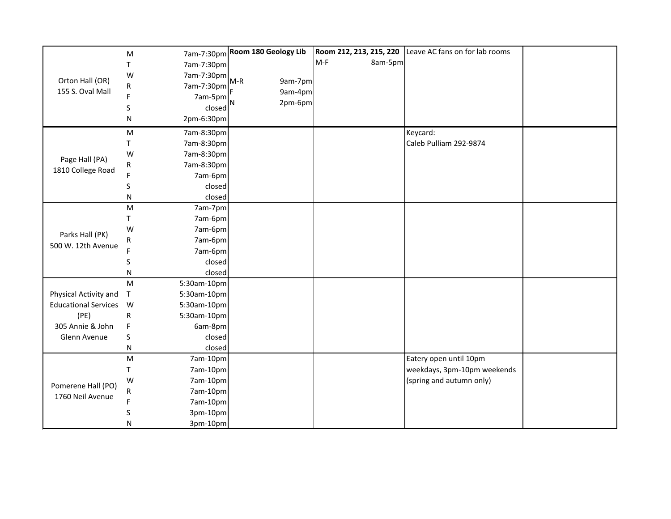|                             | M              | 7am-7:30pm  | Room 180 Geology Lib | Room 212, 213, 215, 220 | Leave AC fans on for lab rooms |  |
|-----------------------------|----------------|-------------|----------------------|-------------------------|--------------------------------|--|
|                             |                | 7am-7:30pm  |                      | $M-F$<br>8am-5pm        |                                |  |
|                             | W              | 7am-7:30pm  |                      |                         |                                |  |
| Orton Hall (OR)             | ${\sf R}$      | 7am-7:30pm  | $M-R$<br>9am-7pm     |                         |                                |  |
| 155 S. Oval Mall            |                | 7am-5pm     | 9am-4pm<br>F         |                         |                                |  |
|                             |                | closed      | 2pm-6pm<br>N         |                         |                                |  |
|                             | N              | 2pm-6:30pm  |                      |                         |                                |  |
|                             | M              | 7am-8:30pm  |                      |                         | Keycard:                       |  |
|                             |                | 7am-8:30pm  |                      |                         | Caleb Pulliam 292-9874         |  |
| Page Hall (PA)              | W              | 7am-8:30pm  |                      |                         |                                |  |
| 1810 College Road           | R              | 7am-8:30pm  |                      |                         |                                |  |
|                             |                | 7am-6pm     |                      |                         |                                |  |
|                             |                | closed      |                      |                         |                                |  |
|                             |                | closed      |                      |                         |                                |  |
|                             | M              | 7am-7pm     |                      |                         |                                |  |
|                             |                | 7am-6pm     |                      |                         |                                |  |
| Parks Hall (PK)             | W              | 7am-6pm     |                      |                         |                                |  |
| 500 W. 12th Avenue          | ${\sf R}$      | 7am-6pm     |                      |                         |                                |  |
|                             |                | 7am-6pm     |                      |                         |                                |  |
|                             |                | closed      |                      |                         |                                |  |
|                             | N              | closed      |                      |                         |                                |  |
|                             | M              | 5:30am-10pm |                      |                         |                                |  |
| Physical Activity and       | T              | 5:30am-10pm |                      |                         |                                |  |
| <b>Educational Services</b> | W              | 5:30am-10pm |                      |                         |                                |  |
| (PE)                        | $\overline{R}$ | 5:30am-10pm |                      |                         |                                |  |
| 305 Annie & John            | lF.            | 6am-8pm     |                      |                         |                                |  |
| Glenn Avenue                | S              | closed      |                      |                         |                                |  |
|                             | N              | closed      |                      |                         |                                |  |
|                             | M              | 7am-10pm    |                      |                         | Eatery open until 10pm         |  |
|                             |                | 7am-10pm    |                      |                         | weekdays, 3pm-10pm weekends    |  |
| Pomerene Hall (PO)          | W              | 7am-10pm    |                      |                         | (spring and autumn only)       |  |
| 1760 Neil Avenue            | $\mathsf R$    | 7am-10pm    |                      |                         |                                |  |
|                             |                | 7am-10pm    |                      |                         |                                |  |
|                             |                | 3pm-10pm    |                      |                         |                                |  |
|                             | 'N             | 3pm-10pm    |                      |                         |                                |  |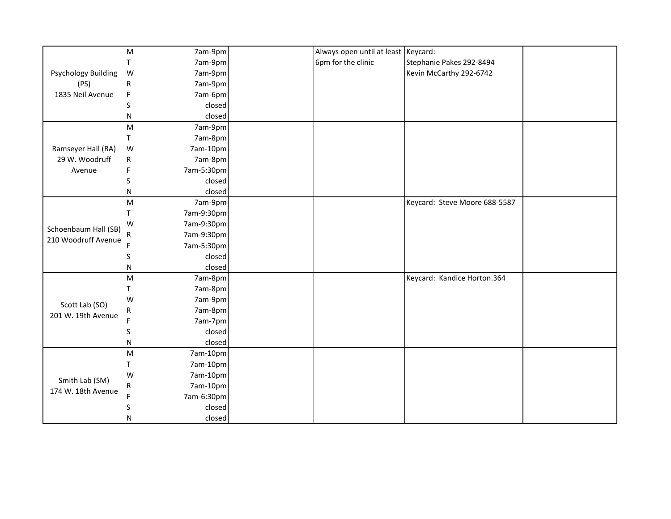|                            | M           | 7am-9pm    | Always open until at least Keycard: |                               |  |
|----------------------------|-------------|------------|-------------------------------------|-------------------------------|--|
|                            |             | 7am-9pm    | 6pm for the clinic                  | Stephanie Pakes 292-8494      |  |
| <b>Psychology Building</b> | W           | 7am-9pm    |                                     | Kevin McCarthy 292-6742       |  |
| (PS)                       | $\mathsf R$ | 7am-9pm    |                                     |                               |  |
| 1835 Neil Avenue           | F           | 7am-6pm    |                                     |                               |  |
|                            |             | closed     |                                     |                               |  |
|                            | N           | closed     |                                     |                               |  |
|                            | M           | 7am-9pm    |                                     |                               |  |
|                            |             | 7am-8pm    |                                     |                               |  |
| Ramseyer Hall (RA)         | W           | 7am-10pm   |                                     |                               |  |
| 29 W. Woodruff             | ${\sf R}$   | 7am-8pm    |                                     |                               |  |
| Avenue                     |             | 7am-5:30pm |                                     |                               |  |
|                            |             | closed     |                                     |                               |  |
|                            | N           | closed     |                                     |                               |  |
|                            | M           | 7am-9pm    |                                     | Keycard: Steve Moore 688-5587 |  |
|                            |             | 7am-9:30pm |                                     |                               |  |
| Schoenbaum Hall (SB)       | W           | 7am-9:30pm |                                     |                               |  |
| 210 Woodruff Avenue        |             | 7am-9:30pm |                                     |                               |  |
|                            |             | 7am-5:30pm |                                     |                               |  |
|                            |             | closed     |                                     |                               |  |
|                            | N           | closed     |                                     |                               |  |
|                            | M           | 7am-8pm    |                                     | Keycard: Kandice Horton.364   |  |
|                            |             | 7am-8pm    |                                     |                               |  |
| Scott Lab (SO)             | W           | 7am-9pm    |                                     |                               |  |
| 201 W. 19th Avenue         | ${\sf R}$   | 7am-8pm    |                                     |                               |  |
|                            |             | 7am-7pm    |                                     |                               |  |
|                            |             | closed     |                                     |                               |  |
|                            | N           | closed     |                                     |                               |  |
|                            | M           | 7am-10pm   |                                     |                               |  |
|                            |             | 7am-10pm   |                                     |                               |  |
| Smith Lab (SM)             | W           | 7am-10pm   |                                     |                               |  |
| 174 W. 18th Avenue         | ${\sf R}$   | 7am-10pm   |                                     |                               |  |
|                            |             | 7am-6:30pm |                                     |                               |  |
|                            |             | closed     |                                     |                               |  |
|                            | N           | closed     |                                     |                               |  |